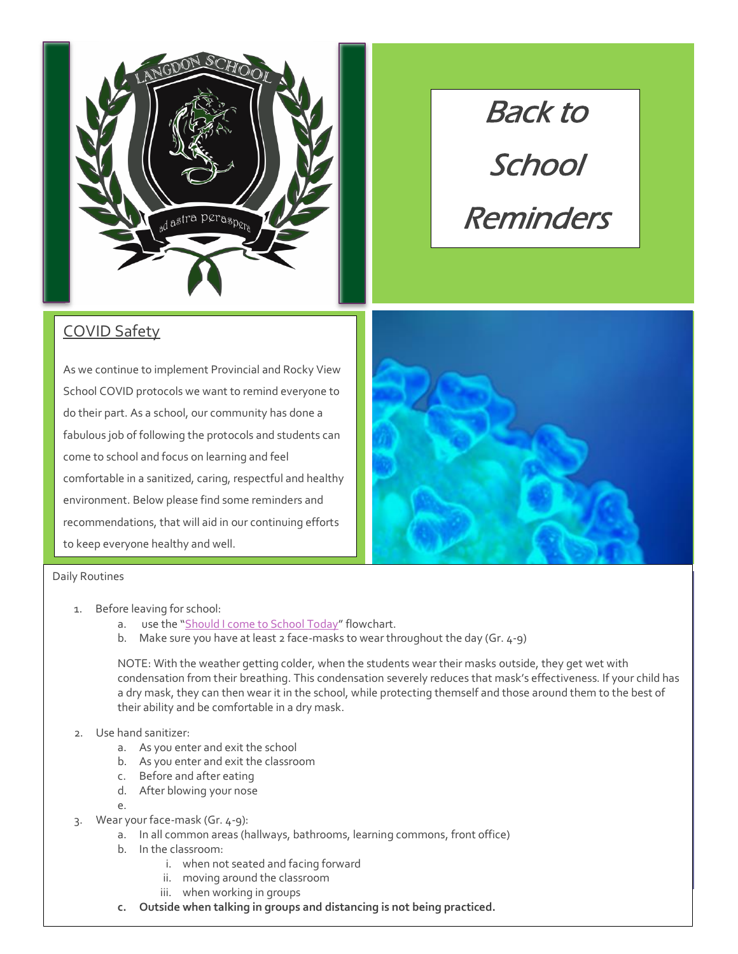

# Back to **School** Reminders

## COVID Safety

As we continue to implement Provincial and Rocky View School COVID protocols we want to remind everyone to do their part. As a school, our community has done a fabulous job of following the protocols and students can come to school and focus on learning and feel comfortable in a sanitized, caring, respectful and healthy environment. Below please find some reminders and recommendations, that will aid in our continuing efforts to keep everyone healthy and well.



#### Daily Routines

- 1. Before leaving for school:
	- a. use the "[Should I come to School Today](https://www.rockyview.ab.ca/school-re-entry-plan/assets/update-assets/student-flowchart/view)" flowchart.
	- b. Make sure you have at least 2 face-masks to wear throughout the day (Gr. 4-9)

NOTE: With the weather getting colder, when the students wear their masks outside, they get wet with condensation from their breathing. This condensation severely reduces that mask's effectiveness. If your child has a dry mask, they can then wear it in the school, while protecting themself and those around them to the best of their ability and be comfortable in a dry mask.

#### 2. Use hand sanitizer:

- a. As you enter and exit the school
- b. As you enter and exit the classroom
- c. Before and after eating
- d. After blowing your nose
- e.
- 3. Wear your face-mask (Gr. 4-9):
	- a. In all common areas (hallways, bathrooms, learning commons, front office)
	- b. In the classroom:
		- i. when not seated and facing forward
		- ii. moving around the classroom
		- iii. when working in groups
	- **c. Outside when talking in groups and distancing is not being practiced.**